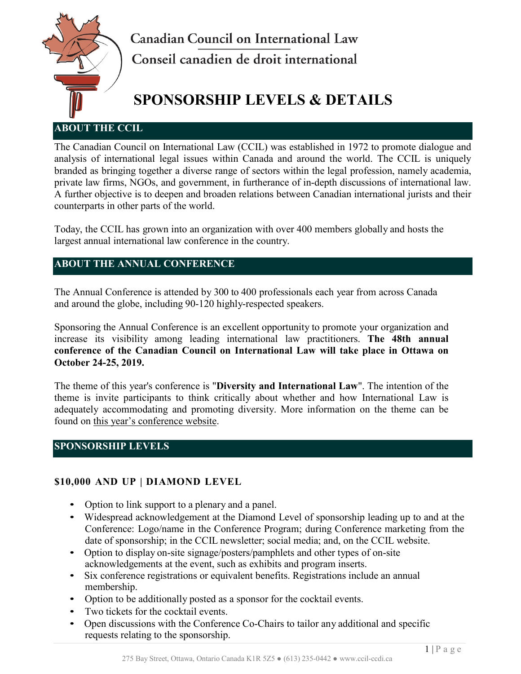

**Canadian Council on International Law** Conseil canadien de droit international

# **SPONSORSHIP LEVELS & DETAILS**

## **ABOUT THE CCIL**

The Canadian Council on International Law (CCIL) was established in 1972 to promote dialogue and analysis of international legal issues within Canada and around the world. The CCIL is uniquely branded as bringing together a diverse range of sectors within the legal profession, namely academia, private law firms, NGOs, and government, in furtherance of in-depth discussions of international law. A further objective is to deepen and broaden relations between Canadian international jurists and their counterparts in other parts of the world.

Today, the CCIL has grown into an organization with over 400 members globally and hosts the largest annual international law conference in the country.

## **ABOUT THE ANNUAL CONFERENCE**

The Annual Conference is attended by 300 to 400 professionals each year from across Canada and around the globe, including 90-120 highly-respected speakers.

Sponsoring the Annual Conference is an excellent opportunity to promote your organization and increase its visibility among leading international law practitioners. **The 48th annual conference of the Canadian Council on International Law will take place in Ottawa on October 24-25, 2019.** 

The theme of this year's conference is "**Diversity and International Law**". The intention of the theme is invite participants to think critically about whether and how International Law is adequately accommodating and promoting diversity. More information on the theme can be found on [this year's conference website.](https://www.ccil-ccdi.ca/2019conference)

# **SPONSORSHIP LEVELS**

# **\$10,000 AND UP | DIAMOND LEVEL**

- Option to link support to a plenary and a panel.
- Widespread acknowledgement at the Diamond Level of sponsorship leading up to and at the Conference: Logo/name in the Conference Program; during Conference marketing from the date of sponsorship; in the CCIL newsletter; social media; and, on the CCIL website.
- Option to display on-site signage/posters/pamphlets and other types of on-site acknowledgements at the event, such as exhibits and program inserts.
- Six conference registrations or equivalent benefits. Registrations include an annual membership.
- Option to be additionally posted as a sponsor for the cocktail events.
- Two tickets for the cocktail events.
- Open discussions with the Conference Co-Chairs to tailor any additional and specific requests relating to the sponsorship.